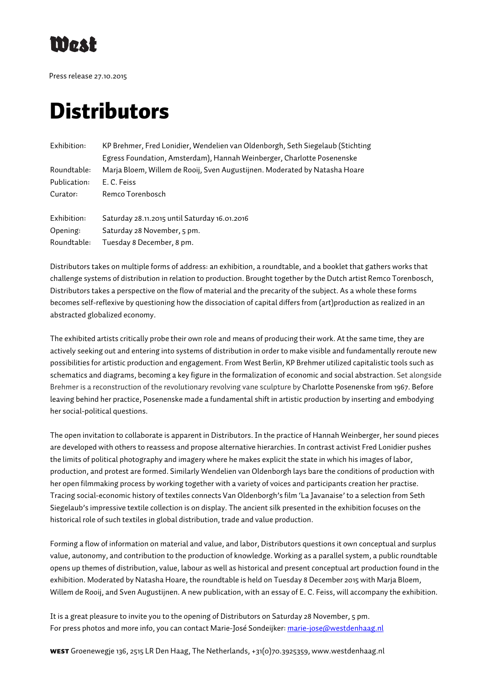

Press release 27.10.2015

# **Distributors**

| Exhibition:  | KP Brehmer, Fred Lonidier, Wendelien van Oldenborgh, Seth Siegelaub (Stichting |
|--------------|--------------------------------------------------------------------------------|
|              | Egress Foundation, Amsterdam), Hannah Weinberger, Charlotte Posenenske         |
| Roundtable:  | Marja Bloem, Willem de Rooij, Sven Augustijnen. Moderated by Natasha Hoare     |
| Publication: | E. C. Feiss                                                                    |
| Curator:     | Remco Torenbosch                                                               |
|              |                                                                                |
| Exhibition:  | Saturday 28.11.2015 until Saturday 16.01.2016                                  |
| Opening:     | Saturday 28 November, 5 pm.                                                    |
| Roundtable:  | Tuesday 8 December, 8 pm.                                                      |

Distributors takes on multiple forms of address: an exhibition, a roundtable, and a booklet that gathers works that challenge systems of distribution in relation to production. Brought together by the Dutch artist Remco Torenbosch, Distributors takes a perspective on the flow of material and the precarity of the subject. As a whole these forms becomes self-reflexive by questioning how the dissociation of capital differs from (art)production as realized in an abstracted globalized economy.

The exhibited artists critically probe their own role and means of producing their work. At the same time, they are actively seeking out and entering into systems of distribution in order to make visible and fundamentally reroute new possibilities for artistic production and engagement. From West Berlin, KP Brehmer utilized capitalistic tools such as schematics and diagrams, becoming a key figure in the formalization of economic and social abstraction. Set alongside Brehmer is a reconstruction of the revolutionary revolving vane sculpture by Charlotte Posenenske from 1967. Before leaving behind her practice, Posenenske made a fundamental shift in artistic production by inserting and embodying her social-political questions.

The open invitation to collaborate is apparent in Distributors. In the practice of Hannah Weinberger, her sound pieces are developed with others to reassess and propose alternative hierarchies. In contrast activist Fred Lonidier pushes the limits of political photography and imagery where he makes explicit the state in which his images of labor, production, and protest are formed. Similarly Wendelien van Oldenborgh lays bare the conditions of production with her open filmmaking process by working together with a variety of voices and participants creation her practise. Tracing social-economic history of textiles connects Van Oldenborgh's film 'La Javanaise' to a selection from Seth Siegelaub's impressive textile collection is on display. The ancient silk presented in the exhibition focuses on the historical role of such textiles in global distribution, trade and value production.

Forming a flow of information on material and value, and labor, Distributors questions it own conceptual and surplus value, autonomy, and contribution to the production of knowledge. Working as a parallel system, a public roundtable opens up themes of distribution, value, labour as well as historical and present conceptual art production found in the exhibition. Moderated by Natasha Hoare, the roundtable is held on Tuesday 8 December 2015 with Marja Bloem, Willem de Rooij, and Sven Augustijnen. A new publication, with an essay of E. C. Feiss, will accompany the exhibition.

It is a great pleasure to invite you to the opening of Distributors on Saturday 28 November, 5 pm. For press photos and more info, you can contact Marie-José Sondeijker: marie-jose@westdenhaag.nl